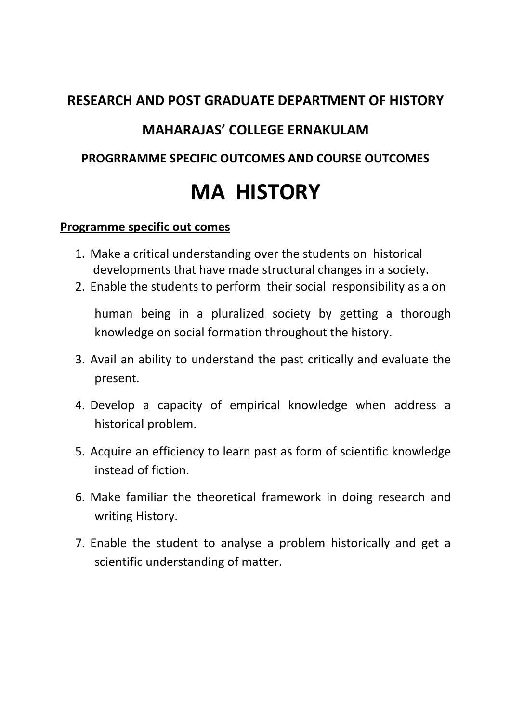# **RESEARCH AND POST GRADUATE DEPARTMENT OF HISTORY MAHARAJAS' COLLEGE ERNAKULAM PROGRRAMME SPECIFIC OUTCOMES AND COURSE OUTCOMES MA HISTORY**

#### **Programme specific out comes**

- 1. Make a critical understanding over the students on historical developments that have made structural changes in a society.
- 2. Enable the students to perform their social responsibility as a on

human being in a pluralized society by getting a thorough knowledge on social formation throughout the history.

- 3. Avail an ability to understand the past critically and evaluate the present.
- 4. Develop a capacity of empirical knowledge when address a historical problem.
- 5. Acquire an efficiency to learn past as form of scientific knowledge instead of fiction.
- 6. Make familiar the theoretical framework in doing research and writing History.
- 7. Enable the student to analyse a problem historically and get a scientific understanding of matter.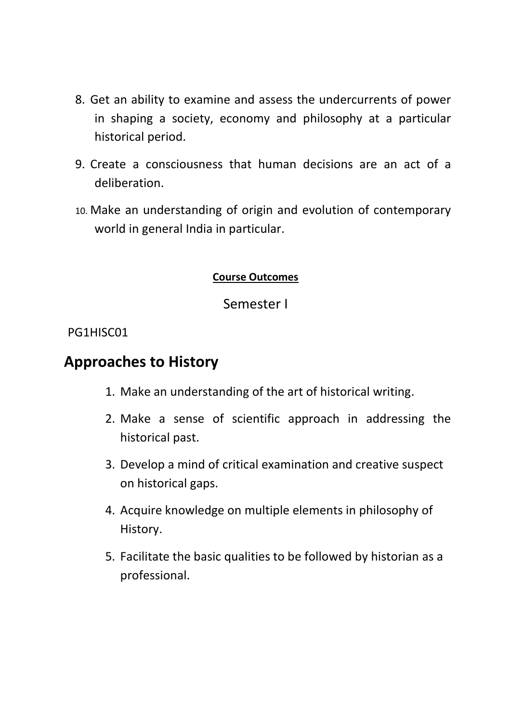- 8. Get an ability to examine and assess the undercurrents of power in shaping a society, economy and philosophy at a particular historical period.
- 9. Create a consciousness that human decisions are an act of a deliberation.
- 10. Make an understanding of origin and evolution of contemporary world in general India in particular.

#### **Course Outcomes**

#### Semester I

#### PG1HISC01

### **Approaches to History**

- 1. Make an understanding of the art of historical writing.
- 2. Make a sense of scientific approach in addressing the historical past.
- 3. Develop a mind of critical examination and creative suspect on historical gaps.
- 4. Acquire knowledge on multiple elements in philosophy of History.
- 5. Facilitate the basic qualities to be followed by historian as a professional.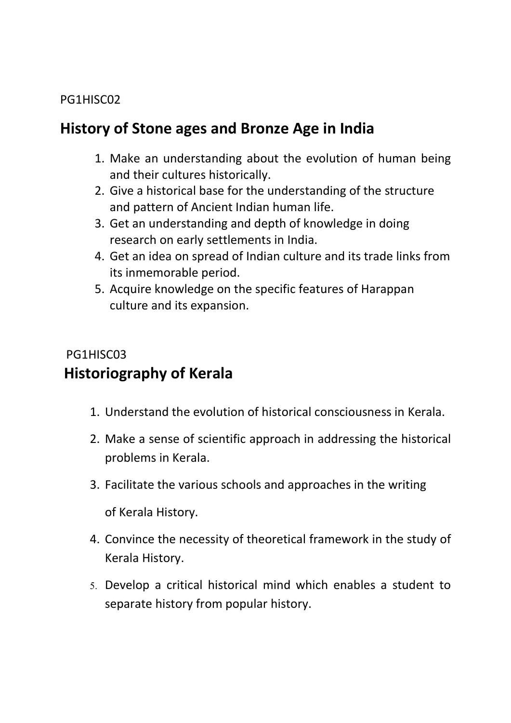#### PG1HISC02

# **History of Stone ages and Bronze Age in India**

- 1. Make an understanding about the evolution of human being and their cultures historically.
- 2. Give a historical base for the understanding of the structure and pattern of Ancient Indian human life.
- 3. Get an understanding and depth of knowledge in doing research on early settlements in India.
- 4. Get an idea on spread of Indian culture and its trade links from its inmemorable period.
- 5. Acquire knowledge on the specific features of Harappan culture and its expansion.

### PG1HISC03 **Historiography of Kerala**

- 1. Understand the evolution of historical consciousness in Kerala.
- 2. Make a sense of scientific approach in addressing the historical problems in Kerala.
- 3. Facilitate the various schools and approaches in the writing of Kerala History.
- 4. Convince the necessity of theoretical framework in the study of Kerala History.
- 5. Develop a critical historical mind which enables a student to separate history from popular history.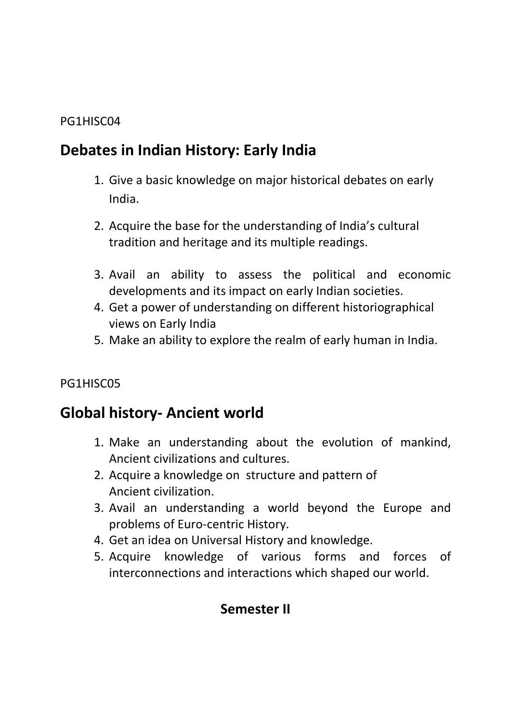#### PG1HISC04

### **Debates in Indian History: Early India**

- 1. Give a basic knowledge on major historical debates on early India.
- 2. Acquire the base for the understanding of India's cultural tradition and heritage and its multiple readings.
- 3. Avail an ability to assess the political and economic developments and its impact on early Indian societies.
- 4. Get a power of understanding on different historiographical views on Early India
- 5. Make an ability to explore the realm of early human in India.

#### PG1HISC05

### **Global history- Ancient world**

- 1. Make an understanding about the evolution of mankind, Ancient civilizations and cultures.
- 2. Acquire a knowledge on structure and pattern of Ancient civilization.
- 3. Avail an understanding a world beyond the Europe and problems of Euro-centric History.
- 4. Get an idea on Universal History and knowledge.
- 5. Acquire knowledge of various forms and forces of interconnections and interactions which shaped our world.

### **Semester II**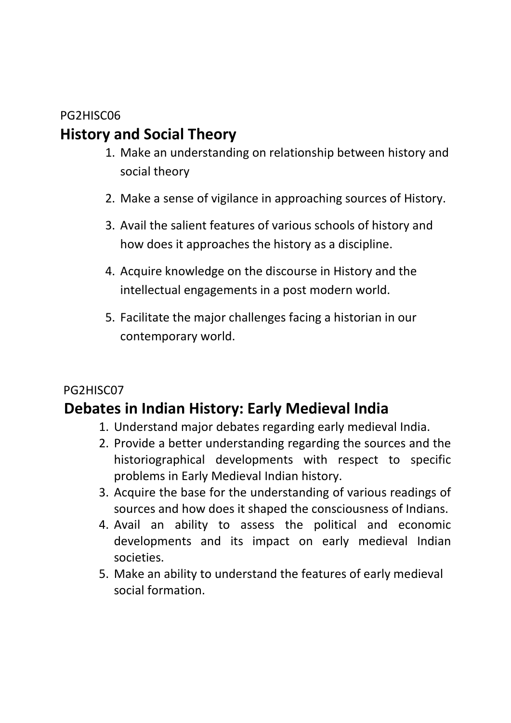#### PG2HISC06

# **History and Social Theory**

- 1. Make an understanding on relationship between history and social theory
- 2. Make a sense of vigilance in approaching sources of History.
- 3. Avail the salient features of various schools of history and how does it approaches the history as a discipline.
- 4. Acquire knowledge on the discourse in History and the intellectual engagements in a post modern world.
- 5. Facilitate the major challenges facing a historian in our contemporary world.

### PG2HISC07

# **Debates in Indian History: Early Medieval India**

- 1. Understand major debates regarding early medieval India.
- 2. Provide a better understanding regarding the sources and the historiographical developments with respect to specific problems in Early Medieval Indian history.
- 3. Acquire the base for the understanding of various readings of sources and how does it shaped the consciousness of Indians.
- 4. Avail an ability to assess the political and economic developments and its impact on early medieval Indian societies.
- 5. Make an ability to understand the features of early medieval social formation.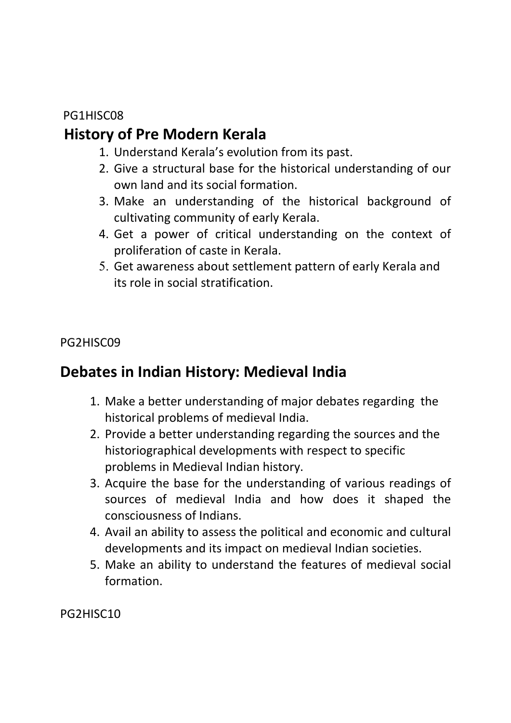#### PG1HISC08

# **History of Pre Modern Kerala**

- 1. Understand Kerala's evolution from its past.
- 2. Give a structural base for the historical understanding of our own land and its social formation.
- 3. Make an understanding of the historical background of cultivating community of early Kerala.
- 4. Get a power of critical understanding on the context of proliferation of caste in Kerala.
- 5. Get awareness about settlement pattern of early Kerala and its role in social stratification.

PG2HISC09

# **Debates in Indian History: Medieval India**

- 1. Make a better understanding of major debates regarding the historical problems of medieval India.
- 2. Provide a better understanding regarding the sources and the historiographical developments with respect to specific problems in Medieval Indian history.
- 3. Acquire the base for the understanding of various readings of sources of medieval India and how does it shaped the consciousness of Indians.
- 4. Avail an ability to assess the political and economic and cultural developments and its impact on medieval Indian societies.
- 5. Make an ability to understand the features of medieval social formation.

PG2HISC10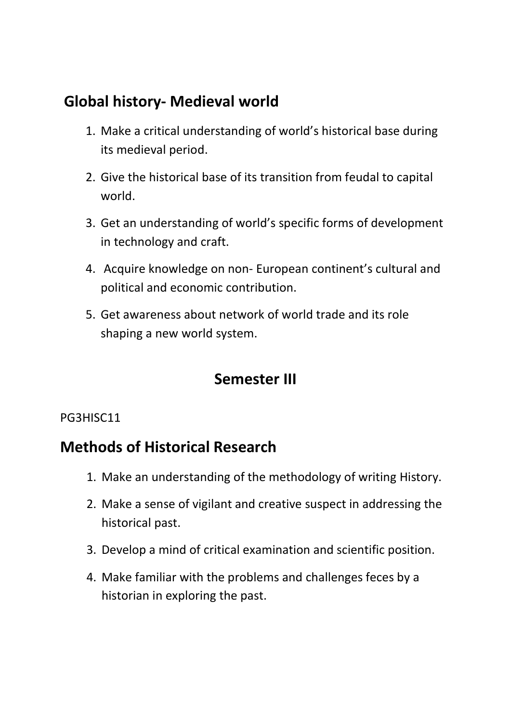# **Global history- Medieval world**

- 1. Make a critical understanding of world's historical base during its medieval period.
- 2. Give the historical base of its transition from feudal to capital world.
- 3. Get an understanding of world's specific forms of development in technology and craft.
- 4. Acquire knowledge on non- European continent's cultural and political and economic contribution.
- 5. Get awareness about network of world trade and its role shaping a new world system.

# **Semester III**

#### PG3HISC11

### **Methods of Historical Research**

- 1. Make an understanding of the methodology of writing History.
- 2. Make a sense of vigilant and creative suspect in addressing the historical past.
- 3. Develop a mind of critical examination and scientific position.
- 4. Make familiar with the problems and challenges feces by a historian in exploring the past.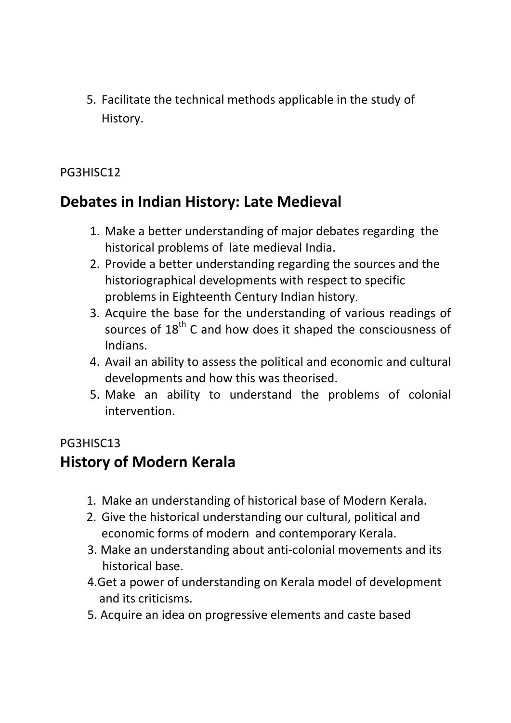5. Facilitate the technical methods applicable in the study of History.

#### PG3HISC12

# **Debates in Indian History: Late Medieval**

- 1. Make a better understanding of major debates regarding the historical problems of late medieval India.
- 2. Provide a better understanding regarding the sources and the historiographical developments with respect to specific problems in Eighteenth Century Indian history.
- 3. Acquire the base for the understanding of various readings of sources of  $18<sup>th</sup>$  C and how does it shaped the consciousness of Indians.
- 4. Avail an ability to assess the political and economic and cultural developments and how this was theorised.
- 5. Make an ability to understand the problems of colonial intervention.

#### PG3HISC13

# **History of Modern Kerala**

- 1. Make an understanding of historical base of Modern Kerala.
- 2. Give the historical understanding our cultural, political and economic forms of modern and contemporary Kerala.
- 3. Make an understanding about anti-colonial movements and its historical base.
- 4.Get a power of understanding on Kerala model of development and its criticisms.
- 5. Acquire an idea on progressive elements and caste based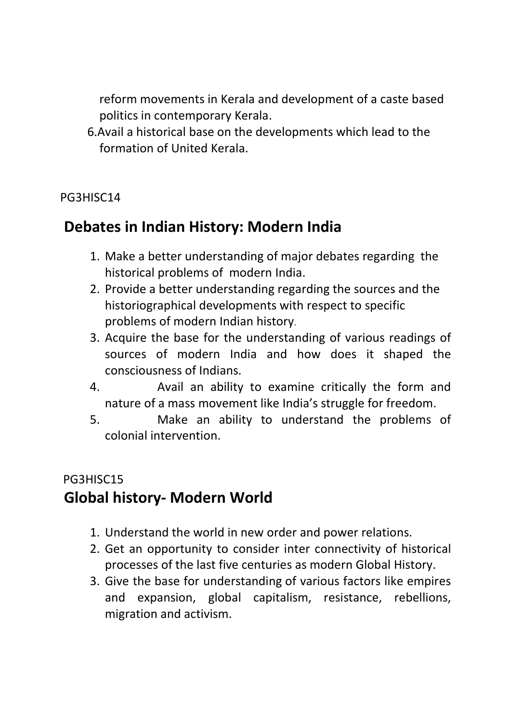reform movements in Kerala and development of a caste based politics in contemporary Kerala.

 6.Avail a historical base on the developments which lead to the formation of United Kerala.

#### PG3HISC14

# **Debates in Indian History: Modern India**

- 1. Make a better understanding of major debates regarding the historical problems of modern India.
- 2. Provide a better understanding regarding the sources and the historiographical developments with respect to specific problems of modern Indian history.
- 3. Acquire the base for the understanding of various readings of sources of modern India and how does it shaped the consciousness of Indians.
- 4. Avail an ability to examine critically the form and nature of a mass movement like India's struggle for freedom.
- 5. Make an ability to understand the problems of colonial intervention.

# PG3HISC15 **Global history- Modern World**

- 1. Understand the world in new order and power relations.
- 2. Get an opportunity to consider inter connectivity of historical processes of the last five centuries as modern Global History.
- 3. Give the base for understanding of various factors like empires and expansion, global capitalism, resistance, rebellions, migration and activism.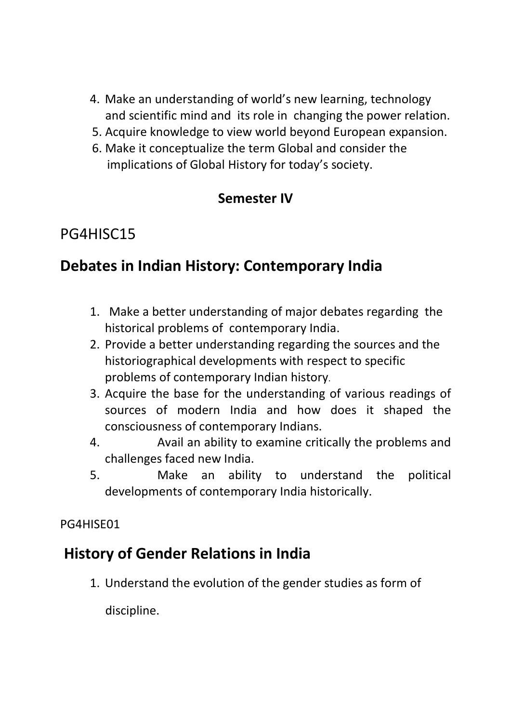- 4. Make an understanding of world's new learning, technology and scientific mind and its role in changing the power relation.
- 5. Acquire knowledge to view world beyond European expansion.
- 6. Make it conceptualize the term Global and consider the implications of Global History for today's society.

### **Semester IV**

# PG4HISC15

# **Debates in Indian History: Contemporary India**

- 1. Make a better understanding of major debates regarding the historical problems of contemporary India.
- 2. Provide a better understanding regarding the sources and the historiographical developments with respect to specific problems of contemporary Indian history.
- 3. Acquire the base for the understanding of various readings of sources of modern India and how does it shaped the consciousness of contemporary Indians.
- 4. Avail an ability to examine critically the problems and challenges faced new India.
- 5. Make an ability to understand the political developments of contemporary India historically.

PG4HISE01

# **History of Gender Relations in India**

1. Understand the evolution of the gender studies as form of

discipline.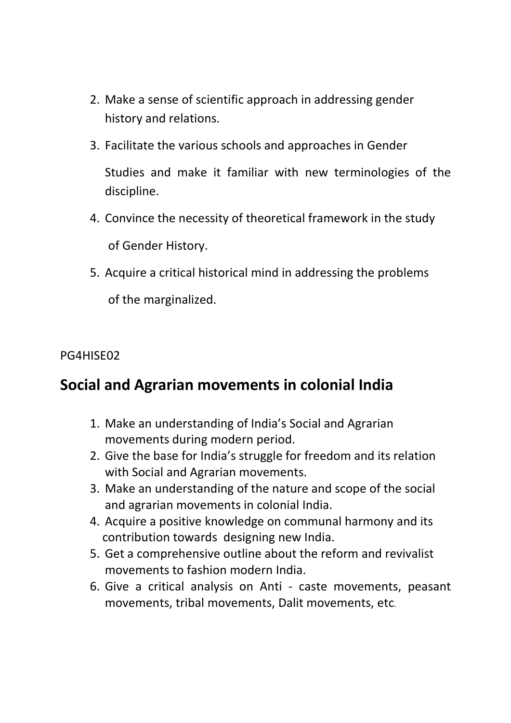- 2. Make a sense of scientific approach in addressing gender history and relations.
- 3. Facilitate the various schools and approaches in Gender Studies and make it familiar with new terminologies of the discipline.
- 4. Convince the necessity of theoretical framework in the study of Gender History.
- 5. Acquire a critical historical mind in addressing the problems of the marginalized.

#### PG4HISE02

### **Social and Agrarian movements in colonial India**

- 1. Make an understanding of India's Social and Agrarian movements during modern period.
- 2. Give the base for India's struggle for freedom and its relation with Social and Agrarian movements.
- 3. Make an understanding of the nature and scope of the social and agrarian movements in colonial India.
- 4. Acquire a positive knowledge on communal harmony and its contribution towards designing new India.
- 5. Get a comprehensive outline about the reform and revivalist movements to fashion modern India.
- 6. Give a critical analysis on Anti caste movements, peasant movements, tribal movements, Dalit movements, etc.